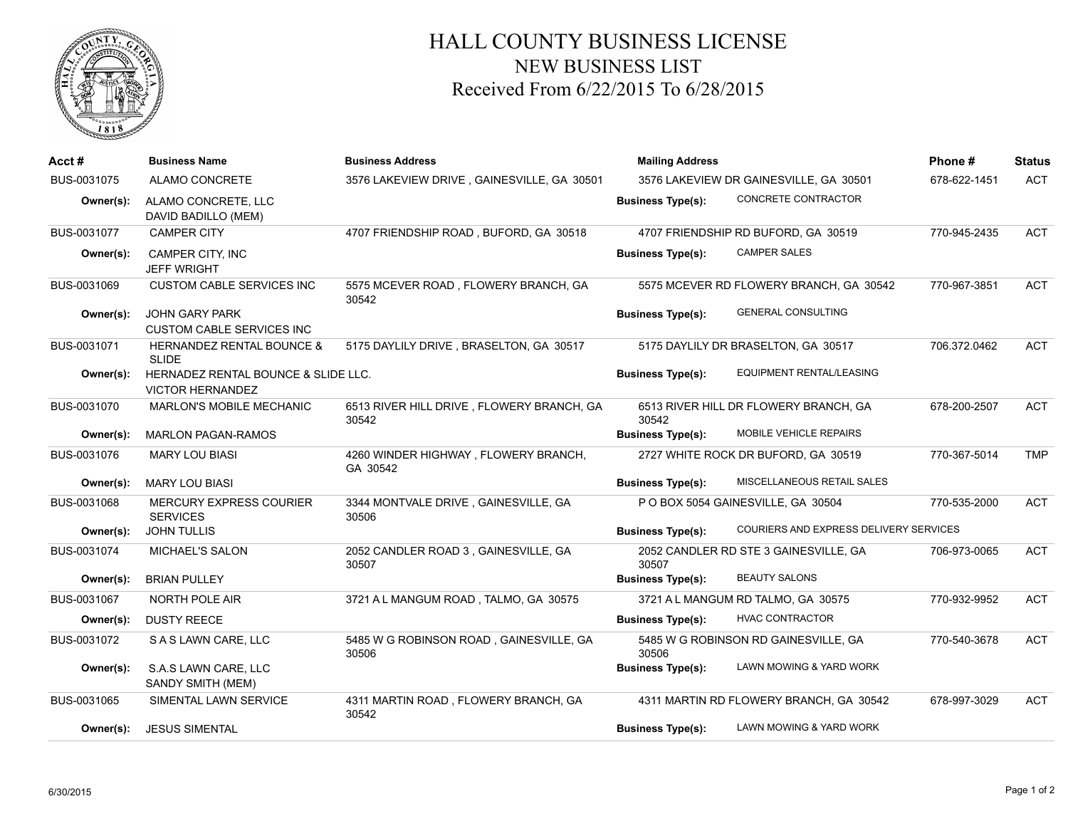

## HALL COUNTY BUSINESS LICENSE NEW BUSINESS LIST Received From 6/22/2015 To 6/28/2015

| $Acct \#$   | <b>Business Name</b>                                           | <b>Business Address</b>                            | <b>Mailing Address</b>   |                                         | Phone#       | <b>Status</b> |
|-------------|----------------------------------------------------------------|----------------------------------------------------|--------------------------|-----------------------------------------|--------------|---------------|
| BUS-0031075 | ALAMO CONCRETE                                                 | 3576 LAKEVIEW DRIVE, GAINESVILLE, GA 30501         |                          | 3576 LAKEVIEW DR GAINESVILLE, GA 30501  | 678-622-1451 | <b>ACT</b>    |
| Owner(s):   | ALAMO CONCRETE, LLC<br>DAVID BADILLO (MEM)                     |                                                    | <b>Business Type(s):</b> | CONCRETE CONTRACTOR                     |              |               |
| BUS-0031077 | <b>CAMPER CITY</b>                                             | 4707 FRIENDSHIP ROAD, BUFORD, GA 30518             |                          | 4707 FRIENDSHIP RD BUFORD, GA 30519     | 770-945-2435 | <b>ACT</b>    |
| Owner(s):   | CAMPER CITY. INC<br><b>JEFF WRIGHT</b>                         |                                                    | <b>Business Type(s):</b> | <b>CAMPER SALES</b>                     |              |               |
| BUS-0031069 | CUSTOM CABLE SERVICES INC                                      | 5575 MCEVER ROAD, FLOWERY BRANCH, GA<br>30542      |                          | 5575 MCEVER RD FLOWERY BRANCH, GA 30542 | 770-967-3851 | <b>ACT</b>    |
| Owner(s):   | <b>JOHN GARY PARK</b><br><b>CUSTOM CABLE SERVICES INC</b>      |                                                    | <b>Business Type(s):</b> | <b>GENERAL CONSULTING</b>               |              |               |
| BUS-0031071 | <b>HERNANDEZ RENTAL BOUNCE &amp;</b><br><b>SLIDE</b>           | 5175 DAYLILY DRIVE, BRASELTON, GA 30517            |                          | 5175 DAYLILY DR BRASELTON, GA 30517     | 706.372.0462 | <b>ACT</b>    |
| Owner(s):   | HERNADEZ RENTAL BOUNCE & SLIDE LLC.<br><b>VICTOR HERNANDEZ</b> |                                                    | <b>Business Type(s):</b> | <b>EQUIPMENT RENTAL/LEASING</b>         |              |               |
| BUS-0031070 | <b>MARLON'S MOBILE MECHANIC</b>                                | 6513 RIVER HILL DRIVE, FLOWERY BRANCH, GA<br>30542 | 30542                    | 6513 RIVER HILL DR FLOWERY BRANCH, GA   | 678-200-2507 | <b>ACT</b>    |
| Owner(s):   | <b>MARLON PAGAN-RAMOS</b>                                      |                                                    | <b>Business Type(s):</b> | <b>MOBILE VEHICLE REPAIRS</b>           |              |               |
| BUS-0031076 | <b>MARY LOU BIASI</b>                                          | 4260 WINDER HIGHWAY, FLOWERY BRANCH,<br>GA 30542   |                          | 2727 WHITE ROCK DR BUFORD, GA 30519     | 770-367-5014 | <b>TMP</b>    |
| Owner(s):   | <b>MARY LOU BIASI</b>                                          |                                                    | <b>Business Type(s):</b> | MISCELLANEOUS RETAIL SALES              |              |               |
| BUS-0031068 | MERCURY EXPRESS COURIER<br><b>SERVICES</b>                     | 3344 MONTVALE DRIVE, GAINESVILLE, GA<br>30506      |                          | P O BOX 5054 GAINESVILLE, GA 30504      | 770-535-2000 | <b>ACT</b>    |
| Owner(s):   | <b>JOHN TULLIS</b>                                             |                                                    | <b>Business Type(s):</b> | COURIERS AND EXPRESS DELIVERY SERVICES  |              |               |
| BUS-0031074 | MICHAEL'S SALON                                                | 2052 CANDLER ROAD 3, GAINESVILLE, GA<br>30507      | 30507                    | 2052 CANDLER RD STE 3 GAINESVILLE, GA   | 706-973-0065 | <b>ACT</b>    |
| Owner(s):   | <b>BRIAN PULLEY</b>                                            |                                                    | <b>Business Type(s):</b> | <b>BEAUTY SALONS</b>                    |              |               |
| BUS-0031067 | NORTH POLE AIR                                                 | 3721 A L MANGUM ROAD, TALMO, GA 30575              |                          | 3721 A L MANGUM RD TALMO, GA 30575      | 770-932-9952 | <b>ACT</b>    |
| Owner(s):   | <b>DUSTY REECE</b>                                             |                                                    | <b>Business Type(s):</b> | <b>HVAC CONTRACTOR</b>                  |              |               |
| BUS-0031072 | S A S LAWN CARE, LLC                                           | 5485 W G ROBINSON ROAD, GAINESVILLE, GA<br>30506   | 30506                    | 5485 W G ROBINSON RD GAINESVILLE, GA    | 770-540-3678 | <b>ACT</b>    |
| Owner(s):   | S.A.S LAWN CARE, LLC<br>SANDY SMITH (MEM)                      |                                                    | <b>Business Type(s):</b> | LAWN MOWING & YARD WORK                 |              |               |
| BUS-0031065 | SIMENTAL LAWN SERVICE                                          | 4311 MARTIN ROAD, FLOWERY BRANCH, GA<br>30542      |                          | 4311 MARTIN RD FLOWERY BRANCH, GA 30542 | 678-997-3029 | <b>ACT</b>    |
| Owner(s):   | <b>JESUS SIMENTAL</b>                                          |                                                    | <b>Business Type(s):</b> | LAWN MOWING & YARD WORK                 |              |               |